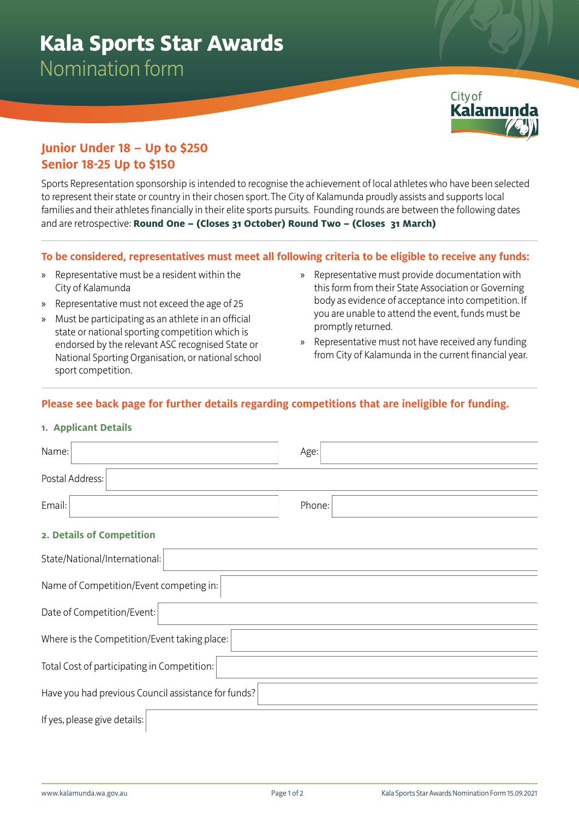

# **Junior Under 18 – Up to \$250 Senior 18-25 Up to \$150**

Sports Representation sponsorship is intended to recognise the achievement of local athletes who have been selected to represent their state or country in their chosen sport. The City of Kalamunda proudly assists and supports local families and their athletes financially in their elite sports pursuits. Founding rounds are between the following dates and are retrospective: **Round One – (Closes 31 October) Round Two – (Closes 31 March)**

## **To be considered, representatives must meet all following criteria to be eligible to receive any funds:**

- » Representative must be a resident within the City of Kalamunda
- » Representative must not exceed the age of 25
- » Must be participating as an athlete in an official state or national sporting competition which is endorsed by the relevant ASC recognised State or National Sporting Organisation, or national school sport competition.
- » Representative must provide documentation with this form from their State Association or Governing body as evidence of acceptance into competition. If you are unable to attend the event, funds must be promptly returned.
- » Representative must not have received any funding from City of Kalamunda in the current financial year.

# **Please see back page for further details regarding competitions that are ineligible for funding.**

### **1. Applicant Details**

| Name:                                               | Age:   |
|-----------------------------------------------------|--------|
| Postal Address:                                     |        |
| Email:                                              | Phone: |
| 2. Details of Competition                           |        |
| State/National/International:                       |        |
| Name of Competition/Event competing in:             |        |
| Date of Competition/Event:                          |        |
| Where is the Competition/Event taking place:        |        |
| Total Cost of participating in Competition:         |        |
| Have you had previous Council assistance for funds? |        |
| If yes, please give details:                        |        |